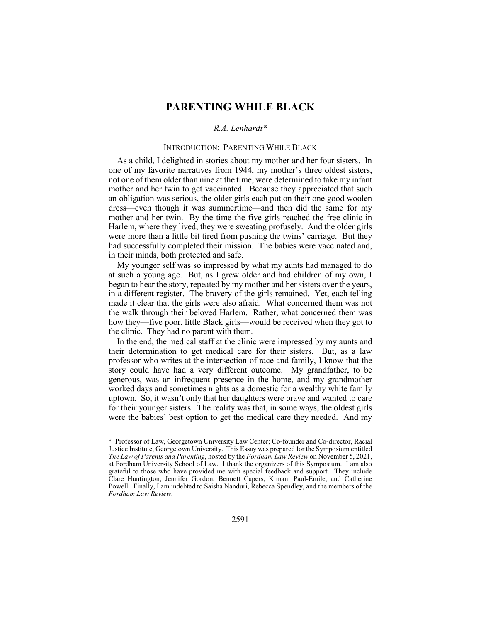# **PARENTING WHILE BLACK**

# *R.A. Lenhardt\**

## INTRODUCTION: PARENTING WHILE BLACK

As a child, I delighted in stories about my mother and her four sisters. In one of my favorite narratives from 1944, my mother's three oldest sisters, not one of them older than nine at the time, were determined to take my infant mother and her twin to get vaccinated. Because they appreciated that such an obligation was serious, the older girls each put on their one good woolen dress—even though it was summertime—and then did the same for my mother and her twin. By the time the five girls reached the free clinic in Harlem, where they lived, they were sweating profusely. And the older girls were more than a little bit tired from pushing the twins' carriage. But they had successfully completed their mission. The babies were vaccinated and, in their minds, both protected and safe.

My younger self was so impressed by what my aunts had managed to do at such a young age. But, as I grew older and had children of my own, I began to hear the story, repeated by my mother and her sisters over the years, in a different register. The bravery of the girls remained. Yet, each telling made it clear that the girls were also afraid. What concerned them was not the walk through their beloved Harlem. Rather, what concerned them was how they—five poor, little Black girls—would be received when they got to the clinic. They had no parent with them.

In the end, the medical staff at the clinic were impressed by my aunts and their determination to get medical care for their sisters. But, as a law professor who writes at the intersection of race and family, I know that the story could have had a very different outcome. My grandfather, to be generous, was an infrequent presence in the home, and my grandmother worked days and sometimes nights as a domestic for a wealthy white family uptown. So, it wasn't only that her daughters were brave and wanted to care for their younger sisters. The reality was that, in some ways, the oldest girls were the babies' best option to get the medical care they needed. And my

<sup>\*</sup> Professor of Law, Georgetown University Law Center; Co-founder and Co-director, Racial Justice Institute, Georgetown University. This Essay was prepared for the Symposium entitled *The Law of Parents and Parenting*, hosted by the *Fordham Law Review* on November 5, 2021, at Fordham University School of Law. I thank the organizers of this Symposium. I am also grateful to those who have provided me with special feedback and support. They include Clare Huntington, Jennifer Gordon, Bennett Capers, Kimani Paul-Emile, and Catherine Powell. Finally, I am indebted to Saisha Nanduri, Rebecca Spendley, and the members of the *Fordham Law Review*.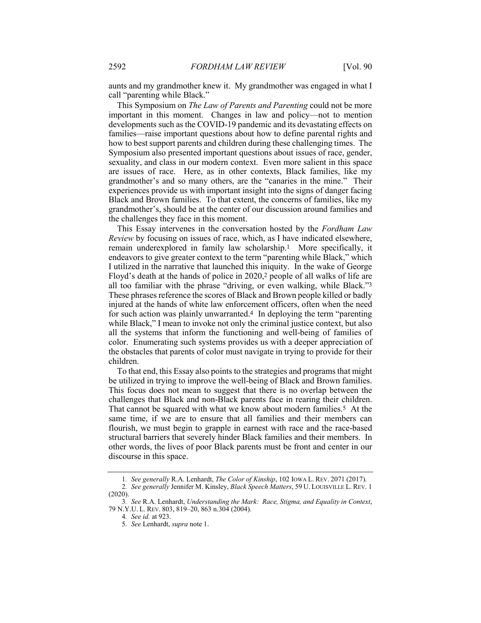aunts and my grandmother knew it. My grandmother was engaged in what I call "parenting while Black."

This Symposium on *The Law of Parents and Parenting* could not be more important in this moment. Changes in law and policy—not to mention developments such as the COVID-19 pandemic and its devastating effects on families—raise important questions about how to define parental rights and how to best support parents and children during these challenging times. The Symposium also presented important questions about issues of race, gender, sexuality, and class in our modern context. Even more salient in this space are issues of race. Here, as in other contexts, Black families, like my grandmother's and so many others, are the "canaries in the mine." Their experiences provide us with important insight into the signs of danger facing Black and Brown families. To that extent, the concerns of families, like my grandmother's, should be at the center of our discussion around families and the challenges they face in this moment.

This Essay intervenes in the conversation hosted by the *Fordham Law Review* by focusing on issues of race, which, as I have indicated elsewhere, remain underexplored in family law scholarship.1 More specifically, it endeavors to give greater context to the term "parenting while Black," which I utilized in the narrative that launched this iniquity. In the wake of George Floyd's death at the hands of police in 2020,2 people of all walks of life are all too familiar with the phrase "driving, or even walking, while Black."3 These phrases reference the scores of Black and Brown people killed or badly injured at the hands of white law enforcement officers, often when the need for such action was plainly unwarranted.4 In deploying the term "parenting while Black," I mean to invoke not only the criminal justice context, but also all the systems that inform the functioning and well-being of families of color. Enumerating such systems provides us with a deeper appreciation of the obstacles that parents of color must navigate in trying to provide for their children.

To that end, this Essay also points to the strategies and programs that might be utilized in trying to improve the well-being of Black and Brown families. This focus does not mean to suggest that there is no overlap between the challenges that Black and non-Black parents face in rearing their children. That cannot be squared with what we know about modern families.5 At the same time, if we are to ensure that all families and their members can flourish, we must begin to grapple in earnest with race and the race-based structural barriers that severely hinder Black families and their members. In other words, the lives of poor Black parents must be front and center in our discourse in this space.

<sup>1</sup>*. See generally* R.A. Lenhardt, *The Color of Kinship*, 102 IOWA L. REV. 2071 (2017). 2*. See generally* Jennifer M. Kinsley, *Black Speech Matters*, 59 U. LOUISVILLE L. REV. 1

<sup>(2020).</sup>

<sup>3</sup>*. See* R.A. Lenhardt, *Understanding the Mark: Race, Stigma, and Equality in Context*, 79 N.Y.U. L. REV. 803, 819–20, 863 n.304 (2004).

<sup>4</sup>*. See id.* at 923.

<sup>5</sup>*. See* Lenhardt, *supra* note 1.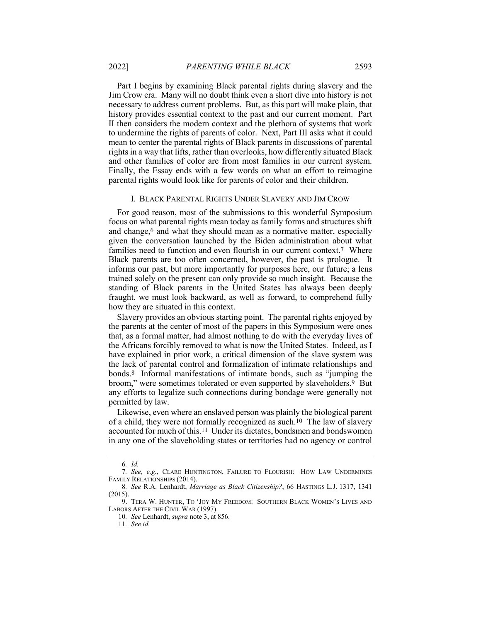Part I begins by examining Black parental rights during slavery and the Jim Crow era. Many will no doubt think even a short dive into history is not necessary to address current problems. But, as this part will make plain, that history provides essential context to the past and our current moment. Part II then considers the modern context and the plethora of systems that work to undermine the rights of parents of color. Next, Part III asks what it could mean to center the parental rights of Black parents in discussions of parental rights in a way that lifts, rather than overlooks, how differently situated Black and other families of color are from most families in our current system. Finally, the Essay ends with a few words on what an effort to reimagine parental rights would look like for parents of color and their children.

### I. BLACK PARENTAL RIGHTS UNDER SLAVERY AND JIM CROW

For good reason, most of the submissions to this wonderful Symposium focus on what parental rights mean today as family forms and structures shift and change,<sup>6</sup> and what they should mean as a normative matter, especially given the conversation launched by the Biden administration about what families need to function and even flourish in our current context.<sup>7</sup> Where Black parents are too often concerned, however, the past is prologue. It informs our past, but more importantly for purposes here, our future; a lens trained solely on the present can only provide so much insight. Because the standing of Black parents in the United States has always been deeply fraught, we must look backward, as well as forward, to comprehend fully how they are situated in this context.

Slavery provides an obvious starting point. The parental rights enjoyed by the parents at the center of most of the papers in this Symposium were ones that, as a formal matter, had almost nothing to do with the everyday lives of the Africans forcibly removed to what is now the United States. Indeed, as I have explained in prior work, a critical dimension of the slave system was the lack of parental control and formalization of intimate relationships and bonds.8 Informal manifestations of intimate bonds, such as "jumping the broom," were sometimes tolerated or even supported by slaveholders.9 But any efforts to legalize such connections during bondage were generally not permitted by law.

Likewise, even where an enslaved person was plainly the biological parent of a child, they were not formally recognized as such.10 The law of slavery accounted for much of this.11 Under its dictates, bondsmen and bondswomen in any one of the slaveholding states or territories had no agency or control

<sup>6</sup>*. Id.*

<sup>7</sup>*. See, e.g.*, CLARE HUNTINGTON, FAILURE TO FLOURISH: HOW LAW UNDERMINES FAMILY RELATIONSHIPS (2014).

<sup>8</sup>*. See* R.A. Lenhardt, *Marriage as Black Citizenship?*, 66 HASTINGS L.J. 1317, 1341 (2015).

<sup>9.</sup> TERA W. HUNTER, TO 'JOY MY FREEDOM: SOUTHERN BLACK WOMEN'S LIVES AND LABORS AFTER THE CIVIL WAR (1997).

<sup>10</sup>*. See* Lenhardt, *supra* note 3, at 856.

<sup>11</sup>*. See id.*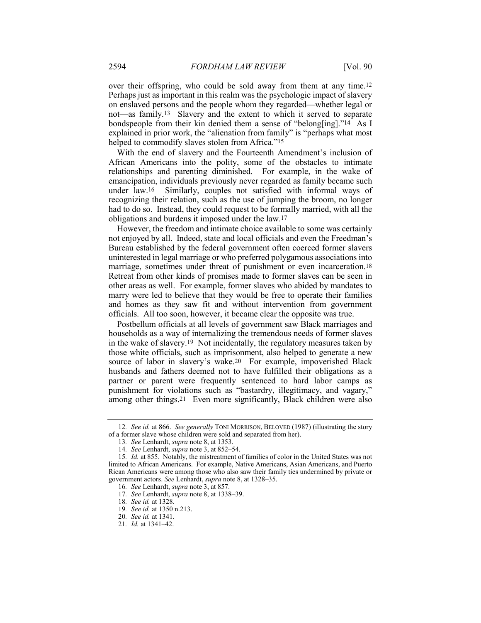over their offspring, who could be sold away from them at any time.12 Perhaps just as important in this realm was the psychologic impact of slavery on enslaved persons and the people whom they regarded—whether legal or not—as family.13 Slavery and the extent to which it served to separate bondspeople from their kin denied them a sense of "belong[ing]."14 As I explained in prior work, the "alienation from family" is "perhaps what most helped to commodify slaves stolen from Africa."<sup>15</sup>

With the end of slavery and the Fourteenth Amendment's inclusion of African Americans into the polity, some of the obstacles to intimate relationships and parenting diminished. For example, in the wake of emancipation, individuals previously never regarded as family became such under law.16 Similarly, couples not satisfied with informal ways of recognizing their relation, such as the use of jumping the broom, no longer had to do so. Instead, they could request to be formally married, with all the obligations and burdens it imposed under the law.17

However, the freedom and intimate choice available to some was certainly not enjoyed by all. Indeed, state and local officials and even the Freedman's Bureau established by the federal government often coerced former slavers uninterested in legal marriage or who preferred polygamous associations into marriage, sometimes under threat of punishment or even incarceration.<sup>18</sup> Retreat from other kinds of promises made to former slaves can be seen in other areas as well. For example, former slaves who abided by mandates to marry were led to believe that they would be free to operate their families and homes as they saw fit and without intervention from government officials. All too soon, however, it became clear the opposite was true.

Postbellum officials at all levels of government saw Black marriages and households as a way of internalizing the tremendous needs of former slaves in the wake of slavery.19 Not incidentally, the regulatory measures taken by those white officials, such as imprisonment, also helped to generate a new source of labor in slavery's wake.20 For example, impoverished Black husbands and fathers deemed not to have fulfilled their obligations as a partner or parent were frequently sentenced to hard labor camps as punishment for violations such as "bastardry, illegitimacy, and vagary," among other things.21 Even more significantly, Black children were also

<sup>12</sup>*. See id.* at 866. *See generally* TONI MORRISON, BELOVED (1987) (illustrating the story of a former slave whose children were sold and separated from her).

<sup>13</sup>*. See* Lenhardt, *supra* note 8, at 1353.

<sup>14</sup>*. See* Lenhardt, *supra* note 3, at 852–54.

<sup>15</sup>*. Id.* at 855. Notably, the mistreatment of families of color in the United States was not limited to African Americans. For example, Native Americans, Asian Americans, and Puerto Rican Americans were among those who also saw their family ties undermined by private or government actors. *See* Lenhardt, *supra* note 8, at 1328–35.

<sup>16</sup>*. See* Lenhardt, *supra* note 3, at 857.

<sup>17</sup>*. See* Lenhardt, *supra* note 8, at 1338–39.

<sup>18</sup>*. See id.* at 1328.

<sup>19</sup>*. See id.* at 1350 n.213.

<sup>20</sup>*. See id.* at 1341.

<sup>21</sup>*. Id.* at 1341–42.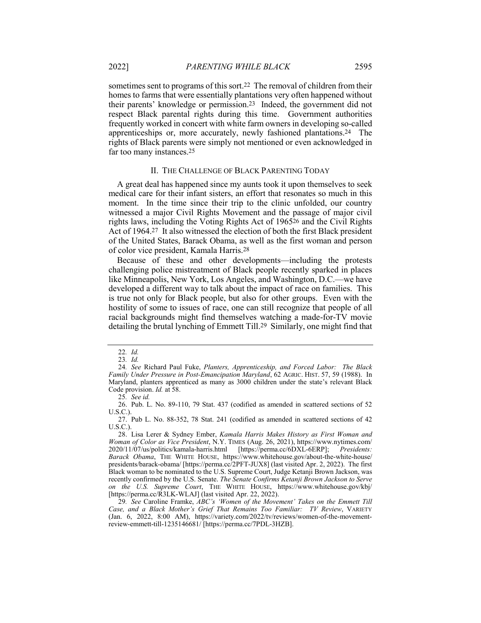sometimes sent to programs of this sort.22 The removal of children from their homes to farms that were essentially plantations very often happened without their parents' knowledge or permission.23 Indeed, the government did not respect Black parental rights during this time. Government authorities frequently worked in concert with white farm owners in developing so-called apprenticeships or, more accurately, newly fashioned plantations.24 The rights of Black parents were simply not mentioned or even acknowledged in far too many instances.25

#### II. THE CHALLENGE OF BLACK PARENTING TODAY

A great deal has happened since my aunts took it upon themselves to seek medical care for their infant sisters, an effort that resonates so much in this moment. In the time since their trip to the clinic unfolded, our country witnessed a major Civil Rights Movement and the passage of major civil rights laws, including the Voting Rights Act of 196526 and the Civil Rights Act of 1964.27 It also witnessed the election of both the first Black president of the United States, Barack Obama, as well as the first woman and person of color vice president, Kamala Harris.28

Because of these and other developments—including the protests challenging police mistreatment of Black people recently sparked in places like Minneapolis, New York, Los Angeles, and Washington, D.C.—we have developed a different way to talk about the impact of race on families. This is true not only for Black people, but also for other groups. Even with the hostility of some to issues of race, one can still recognize that people of all racial backgrounds might find themselves watching a made-for-TV movie detailing the brutal lynching of Emmett Till.29 Similarly, one might find that

25*. See id.*

<sup>22</sup>*. Id.*

<sup>23</sup>*. Id.*

<sup>24</sup>*. See* Richard Paul Fuke, *Planters, Apprenticeship, and Forced Labor: The Black Family Under Pressure in Post-Emancipation Maryland*, 62 AGRIC. HIST. 57, 59 (1988). In Maryland, planters apprenticed as many as 3000 children under the state's relevant Black Code provision. *Id.* at 58.

<sup>26.</sup> Pub. L. No. 89-110, 79 Stat. 437 (codified as amended in scattered sections of 52 U.S.C.).

<sup>27.</sup> Pub L. No. 88-352, 78 Stat. 241 (codified as amended in scattered sections of 42 U.S.C.).

<sup>28.</sup> Lisa Lerer & Sydney Ember, *Kamala Harris Makes History as First Woman and Woman of Color as Vice President*, N.Y. TIMES (Aug. 26, 2021), https://www.nytimes.com/<br>2020/11/07/us/politics/kamala-harris.html [https://perma.cc/6DXL-6ERP]; *Presidents:* [https://perma.cc/6DXL-6ERP]; *Presidents: Barack Obama*, THE WHITE HOUSE, https://www.whitehouse.gov/about-the-white-house/ presidents/barack-obama/ [https://perma.cc/2PFT-JUX8] (last visited Apr. 2, 2022). The first Black woman to be nominated to the U.S. Supreme Court, Judge Ketanji Brown Jackson, was recently confirmed by the U.S. Senate. *The Senate Confirms Ketanji Brown Jackson to Serve on the U.S. Supreme Court*, THE WHITE HOUSE, https://www.whitehouse.gov/kbj/ [https://perma.cc/R3LK-WLAJ] (last visited Apr. 22, 2022).

<sup>29</sup>*. See* Caroline Framke, *ABC's 'Women of the Movement' Takes on the Emmett Till Case, and a Black Mother's Grief That Remains Too Familiar: TV Review*, VARIETY (Jan. 6, 2022, 8:00 AM), https://variety.com/2022/tv/reviews/women-of-the-movementreview-emmett-till-1235146681/ [https://perma.cc/7PDL-3HZB].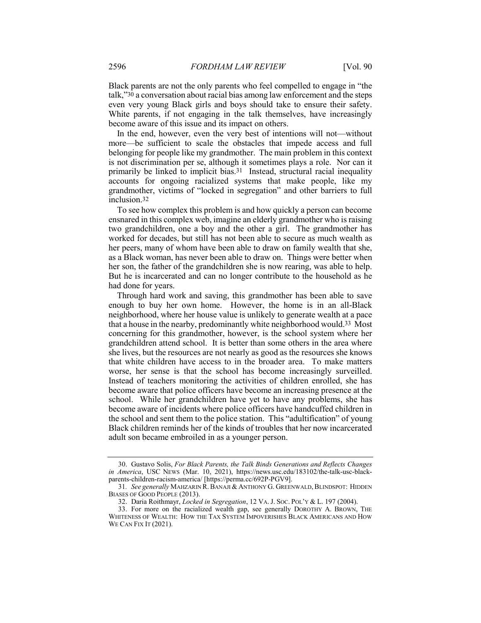Black parents are not the only parents who feel compelled to engage in "the talk,"30 a conversation about racial bias among law enforcement and the steps even very young Black girls and boys should take to ensure their safety. White parents, if not engaging in the talk themselves, have increasingly become aware of this issue and its impact on others.

In the end, however, even the very best of intentions will not—without more—be sufficient to scale the obstacles that impede access and full belonging for people like my grandmother. The main problem in this context is not discrimination per se, although it sometimes plays a role. Nor can it primarily be linked to implicit bias.31 Instead, structural racial inequality accounts for ongoing racialized systems that make people, like my grandmother, victims of "locked in segregation" and other barriers to full inclusion.32

To see how complex this problem is and how quickly a person can become ensnared in this complex web, imagine an elderly grandmother who is raising two grandchildren, one a boy and the other a girl. The grandmother has worked for decades, but still has not been able to secure as much wealth as her peers, many of whom have been able to draw on family wealth that she, as a Black woman, has never been able to draw on. Things were better when her son, the father of the grandchildren she is now rearing, was able to help. But he is incarcerated and can no longer contribute to the household as he had done for years.

Through hard work and saving, this grandmother has been able to save enough to buy her own home. However, the home is in an all-Black neighborhood, where her house value is unlikely to generate wealth at a pace that a house in the nearby, predominantly white neighborhood would.33 Most concerning for this grandmother, however, is the school system where her grandchildren attend school. It is better than some others in the area where she lives, but the resources are not nearly as good as the resources she knows that white children have access to in the broader area. To make matters worse, her sense is that the school has become increasingly surveilled. Instead of teachers monitoring the activities of children enrolled, she has become aware that police officers have become an increasing presence at the school. While her grandchildren have yet to have any problems, she has become aware of incidents where police officers have handcuffed children in the school and sent them to the police station. This "adultification" of young Black children reminds her of the kinds of troubles that her now incarcerated adult son became embroiled in as a younger person.

<sup>30.</sup> Gustavo Solis, *For Black Parents, the Talk Binds Generations and Reflects Changes in America*, USC NEWS (Mar. 10, 2021), https://news.usc.edu/183102/the-talk-usc-blackparents-children-racism-america/ [https://perma.cc/692P-PGV9].

<sup>31</sup>*. See generally* MAHZARIN R.BANAJI &ANTHONY G. GREENWALD,BLINDSPOT: HIDDEN BIASES OF GOOD PEOPLE (2013).

<sup>32.</sup> Daria Roithmayr, *Locked in Segregation*, 12 VA. J. SOC. POL'Y & L. 197 (2004).

<sup>33.</sup> For more on the racialized wealth gap, see generally DOROTHY A. BROWN, THE WHITENESS OF WEALTH: HOW THE TAX SYSTEM IMPOVERISHES BLACK AMERICANS AND HOW WE CAN FIX IT (2021).